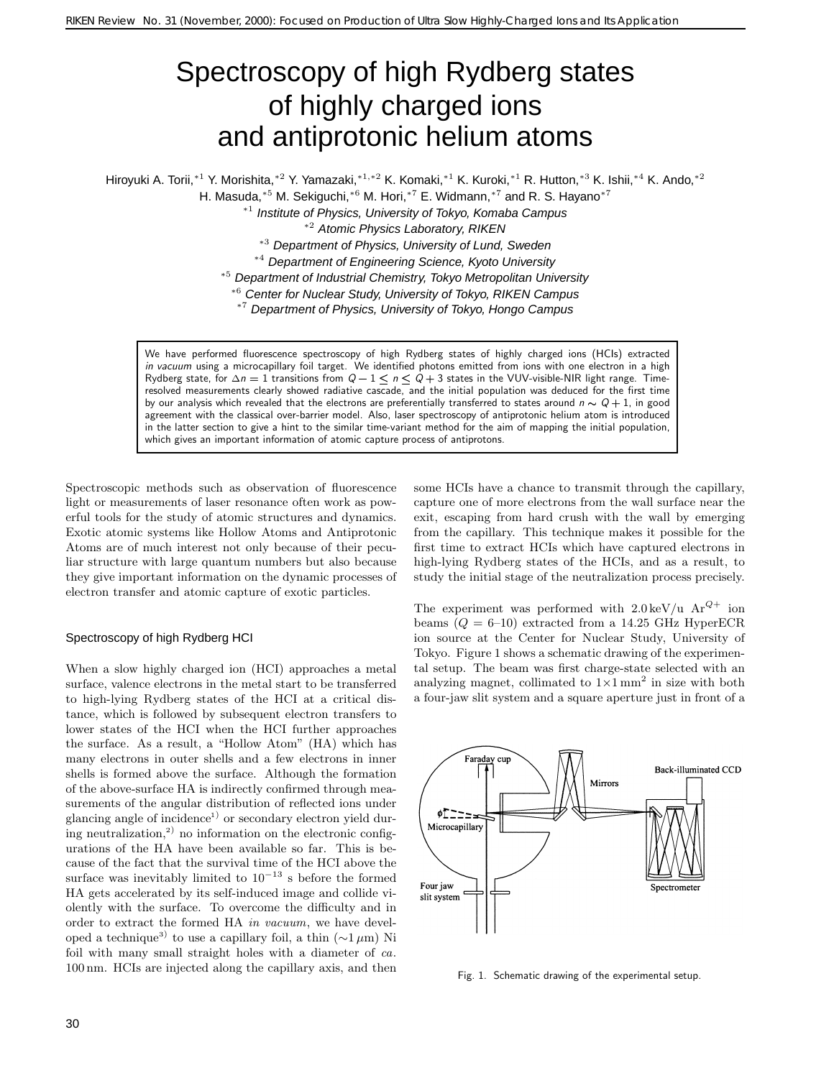# Spectroscopy of high Rydberg states of highly charged ions and antiprotonic helium atoms

Hiroyuki A. Torii,∗<sup>1</sup> Y. Morishita,∗<sup>2</sup> Y. Yamazaki,∗1*,*∗<sup>2</sup> K. Komaki,∗<sup>1</sup> K. Kuroki,∗<sup>1</sup> R. Hutton,∗<sup>3</sup> K. Ishii,∗<sup>4</sup> K. Ando,∗<sup>2</sup>

H. Masuda,<sup>∗5</sup> M. Sekiguchi,<sup>∗6</sup> M. Hori,<sup>∗7</sup> E. Widmann,<sup>∗7</sup> and R. S. Hayano<sup>∗7</sup>

<sup>∗</sup><sup>1</sup> Institute of Physics, University of Tokyo, Komaba Campus

<sup>∗</sup><sup>2</sup> Atomic Physics Laboratory, RIKEN

<sup>∗</sup><sup>3</sup> Department of Physics, University of Lund, Sweden

<sup>∗</sup><sup>4</sup> Department of Engineering Science, Kyoto University

<sup>∗</sup><sup>5</sup> Department of Industrial Chemistry, Tokyo Metropolitan University

<sup>∗</sup><sup>6</sup> Center for Nuclear Study, University of Tokyo, RIKEN Campus

<sup>∗</sup><sup>7</sup> Department of Physics, University of Tokyo, Hongo Campus

We have performed fluorescence spectroscopy of high Rydberg states of highly charged ions (HCIs) extracted *in vacuum* using a microcapillary foil target. We identified photons emitted from ions with one electron in a high Rydberg state, for  $\Delta n = 1$  transitions from  $Q - 1 \le n \le Q + 3$  states in the VUV-visible-NIR light range. Timeresolved measurements clearly showed radiative cascade, and the initial population was deduced for the first time by our analysis which revealed that the electrons are preferentially transferred to states around  $n \sim Q + 1$ , in good agreement with the classical over-barrier model. Also, laser spectroscopy of antiprotonic helium atom is introduced in the latter section to give a hint to the similar time-variant method for the aim of mapping the initial population, which gives an important information of atomic capture process of antiprotons.

Spectroscopic methods such as observation of fluorescence light or measurements of laser resonance often work as powerful tools for the study of atomic structures and dynamics. Exotic atomic systems like Hollow Atoms and Antiprotonic Atoms are of much interest not only because of their peculiar structure with large quantum numbers but also because they give important information on the dynamic processes of electron transfer and atomic capture of exotic particles.

# Spectroscopy of high Rydberg HCI

When a slow highly charged ion (HCI) approaches a metal surface, valence electrons in the metal start to be transferred to high-lying Rydberg states of the HCI at a critical distance, which is followed by subsequent electron transfers to lower states of the HCI when the HCI further approaches the surface. As a result, a "Hollow Atom" (HA) which has many electrons in outer shells and a few electrons in inner shells is formed above the surface. Although the formation of the above-surface HA is indirectly confirmed through measurements of the angular distribution of reflected ions under glancing angle of incidence<sup>1)</sup> or secondary electron yield during neutralization, $^{2)}$  no information on the electronic configurations of the HA have been available so far. This is because of the fact that the survival time of the HCI above the surface was inevitably limited to  $10^{-13}$  s before the formed HA gets accelerated by its self-induced image and collide violently with the surface. To overcome the difficulty and in order to extract the formed HA *in vacuum*, we have developed a technique<sup>3)</sup> to use a capillary foil, a thin ( $\sim$ 1 µm) Ni foil with many small straight holes with a diameter of *ca*. 100 nm. HCIs are injected along the capillary axis, and then some HCIs have a chance to transmit through the capillary, capture one of more electrons from the wall surface near the exit, escaping from hard crush with the wall by emerging from the capillary. This technique makes it possible for the first time to extract HCIs which have captured electrons in high-lying Rydberg states of the HCIs, and as a result, to study the initial stage of the neutralization process precisely.

The experiment was performed with  $2.0 \,\text{keV/u}$  Ar<sup>Q+</sup> ion beams  $(Q = 6-10)$  extracted from a 14.25 GHz HyperECR ion source at the Center for Nuclear Study, University of Tokyo. Figure 1 shows a schematic drawing of the experimental setup. The beam was first charge-state selected with an analyzing magnet, collimated to  $1 \times 1$  mm<sup>2</sup> in size with both a four-jaw slit system and a square aperture just in front of a



Fig. 1. Schematic drawing of the experimental setup.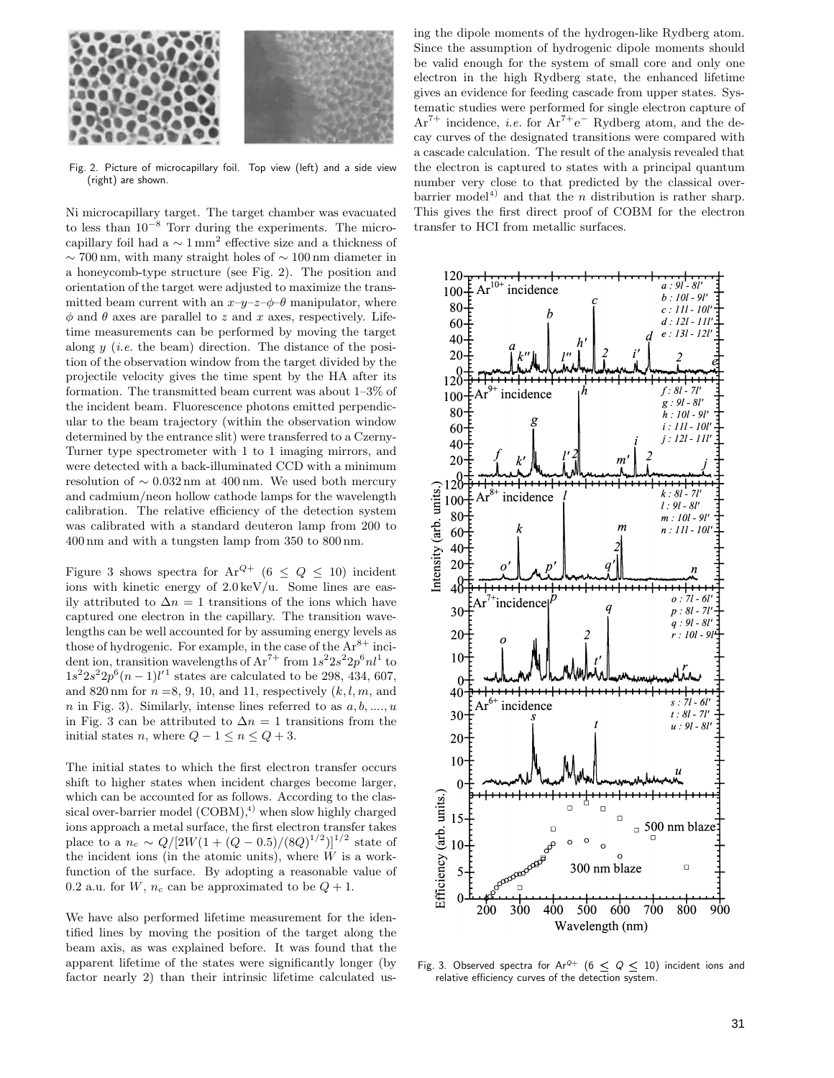

Fig. 2. Picture of microcapillary foil. Top view (left) and a side view (right) are shown.

Ni microcapillary target. The target chamber was evacuated to less than  $10^{-8}$  Torr during the experiments. The microcapillary foil had a  $\sim 1 \text{ mm}^2$  effective size and a thickness of  $\sim$  700 nm, with many straight holes of  $\sim$  100 nm diameter in a honeycomb-type structure (see Fig. 2). The position and orientation of the target were adjusted to maximize the transmitted beam current with an  $x-y-z-\phi$  manipulator, where  $\phi$  and  $\theta$  axes are parallel to z and x axes, respectively. Lifetime measurements can be performed by moving the target along y (*i.e.* the beam) direction. The distance of the position of the observation window from the target divided by the projectile velocity gives the time spent by the HA after its formation. The transmitted beam current was about 1–3% of the incident beam. Fluorescence photons emitted perpendicular to the beam trajectory (within the observation window determined by the entrance slit) were transferred to a Czerny-Turner type spectrometer with 1 to 1 imaging mirrors, and were detected with a back-illuminated CCD with a minimum resolution of  $\sim 0.032$  nm at 400 nm. We used both mercury and cadmium/neon hollow cathode lamps for the wavelength calibration. The relative efficiency of the detection system was calibrated with a standard deuteron lamp from 200 to 400 nm and with a tungsten lamp from 350 to 800 nm.

Figure 3 shows spectra for  $Ar^{Q+}$  (6 < Q < 10) incident ions with kinetic energy of  $2.0 \,\text{keV/u}$ . Some lines are easily attributed to  $\Delta n = 1$  transitions of the ions which have captured one electron in the capillary. The transition wavelengths can be well accounted for by assuming energy levels as those of hydrogenic. For example, in the case of the  $Ar^{8+}$  incident ion, transition wavelengths of  $\mathrm{Ar}^{7+}$  from  $1s^2 2s^2 2p^6 n l^1$  to  $1s^2 2s^2 2p^6 (n-1)l'^1$  states are calculated to be 298, 434, 607, and 820 nm for  $n = 8, 9, 10,$  and 11, respectively  $(k, l, m,$  and n in Fig. 3). Similarly, intense lines referred to as  $a, b, \ldots, u$ in Fig. 3 can be attributed to  $\Delta n = 1$  transitions from the initial states n, where  $Q - 1 \leq n \leq Q + 3$ .

The initial states to which the first electron transfer occurs shift to higher states when incident charges become larger, which can be accounted for as follows. According to the classical over-barrier model  $(COBM)^{4}$ , when slow highly charged ions approach a metal surface, the first electron transfer takes place to a  $n_c \sim Q/[2W(1+(Q-0.5)/(8Q)^{1/2})]^{1/2}$  state of the incident ions (in the atomic units), where  $W$  is a workfunction of the surface. By adopting a reasonable value of 0.2 a.u. for W,  $n_c$  can be approximated to be  $Q + 1$ .

We have also performed lifetime measurement for the identified lines by moving the position of the target along the beam axis, as was explained before. It was found that the apparent lifetime of the states were significantly longer (by factor nearly 2) than their intrinsic lifetime calculated using the dipole moments of the hydrogen-like Rydberg atom. Since the assumption of hydrogenic dipole moments should be valid enough for the system of small core and only one electron in the high Rydberg state, the enhanced lifetime gives an evidence for feeding cascade from upper states. Systematic studies were performed for single electron capture of Ar7+ incidence, *i.e.* for Ar7+*e*<sup>−</sup> Rydberg atom, and the decay curves of the designated transitions were compared with a cascade calculation. The result of the analysis revealed that the electron is captured to states with a principal quantum number very close to that predicted by the classical overbarrier model<sup>4)</sup> and that the *n* distribution is rather sharp. This gives the first direct proof of COBM for the electron transfer to HCI from metallic surfaces.



Fig. 3. Observed spectra for Ar<sup>Q+</sup> ( $6 \le Q \le 10$ ) incident ions and relative efficiency curves of the detection system.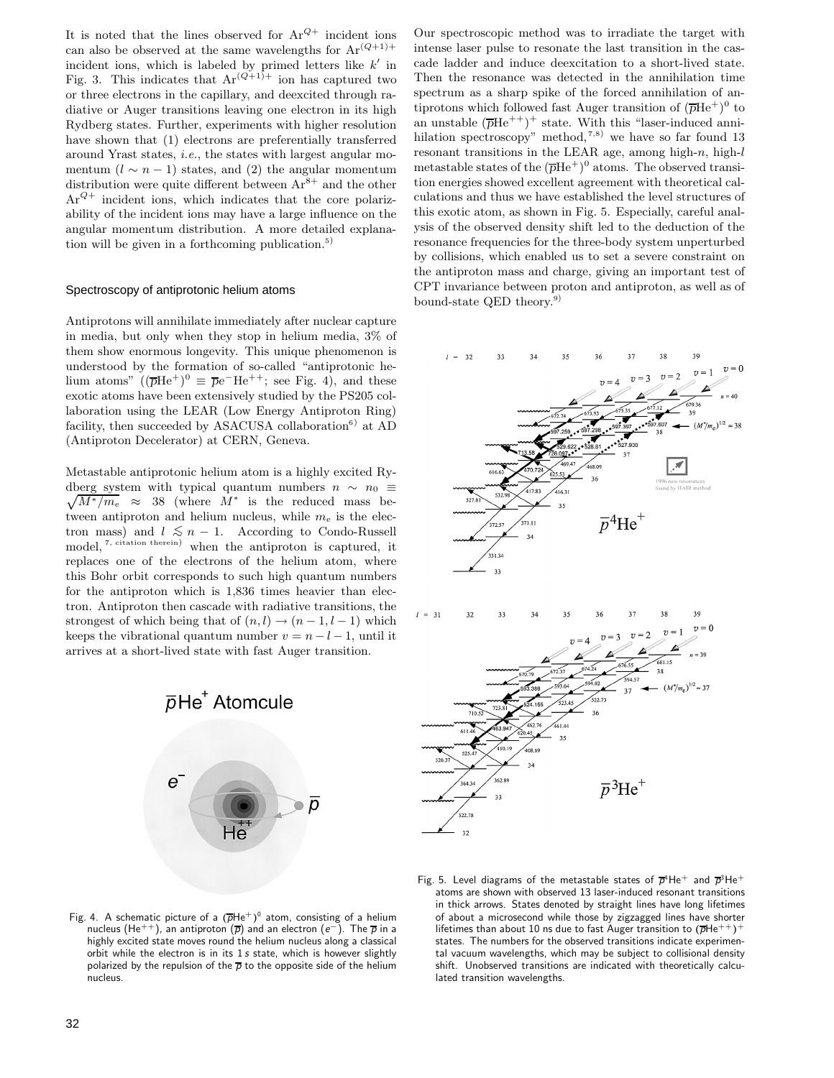It is noted that the lines observed for  $Ar^{Q+}$  incident ions can also be observed at the same wavelengths for  $Ar^{(Q+1)+}$ incident ions, which is labeled by primed letters like  $k'$  in Fig. 3. This indicates that  $Ar^{(Q+1)+}$  ion has captured two or three electrons in the capillary, and deexcited through radiative or Auger transitions leaving one electron in its high Rydberg states. Further, experiments with higher resolution have shown that  $(1)$  electrons are preferentially transferred around Yrast states, *i.e.*, the states with largest angular momentum  $(l \sim n - 1)$  states, and (2) the angular momentum distribution were quite different between  $Ar^{8+}$  and the other  $Ar^{Q+}$  incident ions, which indicates that the core polarizability of the incident ions may have a large influence on the angular momentum distribution. A more detailed explanation will be given in a forthcoming publication.<sup>5)</sup>

### Spectroscopy of antiprotonic helium atoms

Antiprotons will annihilate immediately after nuclear capture in media, but only when they stop in helium media, 3% of them show enormous longevity. This unique phenomenon is understood by the formation of so-called "antiprotonic helium atoms" ( $(\overline{p}He^+)^0 \equiv \overline{p}e^-He^{++}$ ; see Fig. 4), and these exotic atoms have been extensively studied by the PS205 collaboration using the LEAR (Low Energy Antiproton Ring) facility, then succeeded by ASACUSA collaboration<sup>6)</sup> at AD (Antiproton Decelerator) at CERN, Geneva.

Metastable antiprotonic helium atom is a highly excited Rydberg system with typical quantum numbers  $n \sim n_0 \equiv$  $\sqrt{M^*/m_e} \approx 38$  (where  $M^*$  is the reduced mass between antiproton and helium nucleus, while m*<sup>e</sup>* is the electron mass) and  $l \leq n-1$ . According to Condo-Russell model, <sup>7, citation therein</sup>) when the antiproton is captured, it replaces one of the electrons of the helium atom, where this Bohr orbit corresponds to such high quantum numbers for the antiproton which is 1,836 times heavier than electron. Antiproton then cascade with radiative transitions, the strongest of which being that of  $(n, l) \rightarrow (n - 1, l - 1)$  which keeps the vibrational quantum number  $v = n - l - 1$ , until it arrives at a short-lived state with fast Auger transition.



Fig. 4. A schematic picture of a  $(\overline{p}He^+)^0$  atom, consisting of a helium nucleus (He++), an antiproton (*p*) and an electron (*e−*). The *p* in a highly excited state moves round the helium nucleus along a classical orbit while the electron is in its 1 *s* state, which is however slightly polarized by the repulsion of the  $\overline{p}$  to the opposite side of the helium nucleus.

Our spectroscopic method was to irradiate the target with intense laser pulse to resonate the last transition in the cascade ladder and induce deexcitation to a short-lived state. Then the resonance was detected in the annihilation time spectrum as a sharp spike of the forced annihilation of antiprotons which followed fast Auger transition of  $(\overline{p}He^{+})^0$  to an unstable  $(\overline{p}He^{++})^+$  state. With this "laser-induced annihilation spectroscopy" method,<sup>7,8)</sup> we have so far found 13 resonant transitions in the LEAR age, among high- $n$ , high- $l$ metastable states of the  $(\overline{p}He^{+})^0$  atoms. The observed transition energies showed excellent agreement with theoretical calculations and thus we have established the level structures of this exotic atom, as shown in Fig. 5. Especially, careful analysis of the observed density shift led to the deduction of the resonance frequencies for the three-body system unperturbed by collisions, which enabled us to set a severe constraint on the antiproton mass and charge, giving an important test of CPT invariance between proton and antiproton, as well as of bound-state QED theory.<sup>9)</sup>



39  $l = 3$  $32$ 



Fig. 5. Level diagrams of the metastable states of  $\overline{p}^4$ He<sup>+</sup> and  $\overline{p}^3$ He<sup>+</sup> atoms are shown with observed 13 laser-induced resonant transitions in thick arrows. States denoted by straight lines have long lifetimes of about a microsecond while those by zigzagged lines have shorter lifetimes than about 10 ns due to fast Auger transition to  $(\overline{p}He^{++})^+$ states. The numbers for the observed transitions indicate experimental vacuum wavelengths, which may be subject to collisional density shift. Unobserved transitions are indicated with theoretically calculated transition wavelengths.